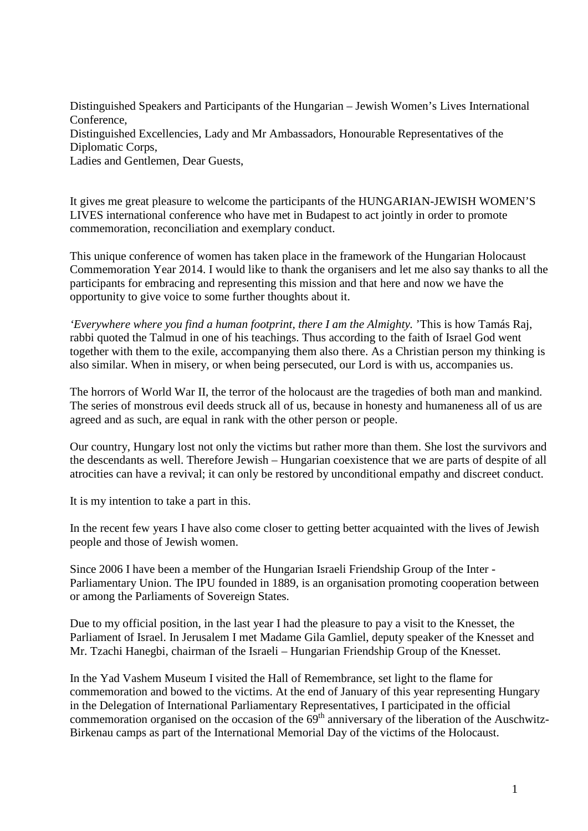Distinguished Speakers and Participants of the Hungarian – Jewish Women's Lives International Conference, Distinguished Excellencies, Lady and Mr Ambassadors, Honourable Representatives of the Diplomatic Corps, Ladies and Gentlemen, Dear Guests,

It gives me great pleasure to welcome the participants of the HUNGARIAN-JEWISH WOMEN'S LIVES international conference who have met in Budapest to act jointly in order to promote commemoration, reconciliation and exemplary conduct.

This unique conference of women has taken place in the framework of the Hungarian Holocaust Commemoration Year 2014. I would like to thank the organisers and let me also say thanks to all the participants for embracing and representing this mission and that here and now we have the opportunity to give voice to some further thoughts about it.

*'Everywhere where you find a human footprint, there I am the Almighty.* 'This is how Tamás Raj, rabbi quoted the Talmud in one of his teachings. Thus according to the faith of Israel God went together with them to the exile, accompanying them also there. As a Christian person my thinking is also similar. When in misery, or when being persecuted, our Lord is with us, accompanies us.

The horrors of World War II, the terror of the holocaust are the tragedies of both man and mankind. The series of monstrous evil deeds struck all of us, because in honesty and humaneness all of us are agreed and as such, are equal in rank with the other person or people.

Our country, Hungary lost not only the victims but rather more than them. She lost the survivors and the descendants as well. Therefore Jewish – Hungarian coexistence that we are parts of despite of all atrocities can have a revival; it can only be restored by unconditional empathy and discreet conduct.

It is my intention to take a part in this.

In the recent few years I have also come closer to getting better acquainted with the lives of Jewish people and those of Jewish women.

Since 2006 I have been a member of the Hungarian Israeli Friendship Group of the Inter - Parliamentary Union. The IPU founded in 1889, is an organisation promoting cooperation between or among the Parliaments of Sovereign States.

Due to my official position, in the last year I had the pleasure to pay a visit to the Knesset, the Parliament of Israel. In Jerusalem I met Madame Gila Gamliel, deputy speaker of the Knesset and Mr. Tzachi Hanegbi, chairman of the Israeli – Hungarian Friendship Group of the Knesset.

In the Yad Vashem Museum I visited the Hall of Remembrance, set light to the flame for commemoration and bowed to the victims. At the end of January of this year representing Hungary in the Delegation of International Parliamentary Representatives, I participated in the official commemoration organised on the occasion of the  $69<sup>th</sup>$  anniversary of the liberation of the Auschwitz-Birkenau camps as part of the International Memorial Day of the victims of the Holocaust.